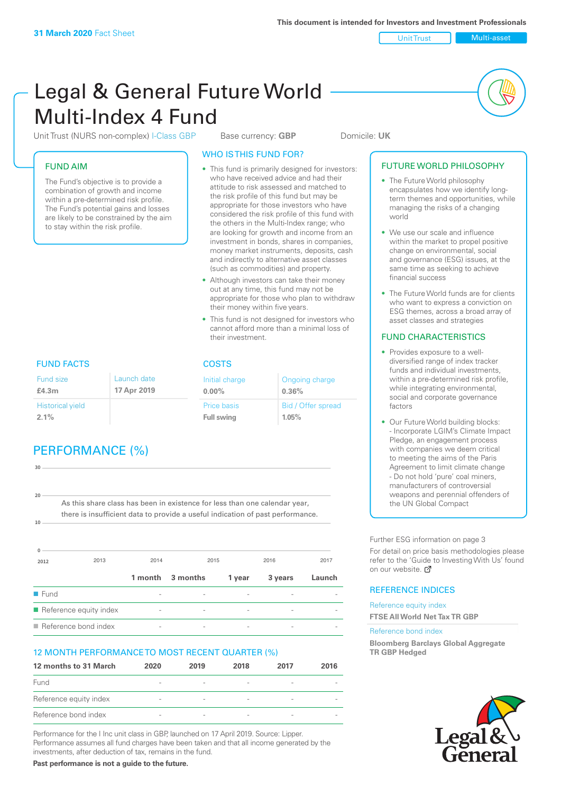Unit Trust Multi-asset

# Legal & General Future World Multi-Index 4 Fund

Unit Trust (NURS non-complex) I-Class GBP Base currency: **GBP** Domicile: UK

# FUND AIM

The Fund's objective is to provide a combination of growth and income within a pre-determined risk profile. The Fund's potential gains and losses are likely to be constrained by the aim to stay within the risk profile.

### WHO IS THIS FUND FOR?

- This fund is primarily designed for investors: who have received advice and had their attitude to risk assessed and matched to the risk profile of this fund but may be appropriate for those investors who have considered the risk profile of this fund with the others in the Multi-Index range; who are looking for growth and income from an investment in bonds, shares in companies, money market instruments, deposits, cash and indirectly to alternative asset classes (such as commodities) and property.
- Although investors can take their money out at any time, this fund may not be appropriate for those who plan to withdraw their money within five years.
- This fund is not designed for investors who cannot afford more than a minimal loss of their investment.

Ongoing charge

Bid / Offer spread

**0.36%**

**1.05%**

Initial charge **0.00%**

Price basis **Full swing**

# FUND FACTS COSTS

| Fund size<br>£4.3m      | Launch date<br>17 Apr 2019 |
|-------------------------|----------------------------|
| <b>Historical yield</b> |                            |
| $2.1\%$                 |                            |

# PERFORMANCE (%)

| 30       |                                                                                |         |                |                          |         |        |
|----------|--------------------------------------------------------------------------------|---------|----------------|--------------------------|---------|--------|
| 20       |                                                                                |         |                |                          |         |        |
|          | As this share class has been in existence for less than one calendar year,     |         |                |                          |         |        |
|          | there is insufficient data to provide a useful indication of past performance. |         |                |                          |         |        |
| 10       |                                                                                |         |                |                          |         |        |
|          |                                                                                |         |                |                          |         |        |
| $\Omega$ |                                                                                |         |                |                          |         |        |
| 2012     | 2013                                                                           | 2014    | 2015           |                          | 2016    | 2017   |
|          |                                                                                | 1 month | 3 months       | 1 year                   | 3 years | Launch |
| Fund     |                                                                                |         |                |                          |         |        |
|          | $\blacksquare$ Reference equity index                                          |         | $\overline{a}$ | $\overline{\phantom{a}}$ |         |        |

 $\blacksquare$  Reference bond index

## 12 MONTH PERFORMANCE TO MOST RECENT QUARTER (%)

| 12 months to 31 March  | 2020                     | 2019                     | 2018                     | 2017                     | 2016 |
|------------------------|--------------------------|--------------------------|--------------------------|--------------------------|------|
| <b>Fund</b>            | $\overline{\phantom{a}}$ |                          | $\qquad \qquad$          | $\overline{\phantom{a}}$ |      |
| Reference equity index | $\overline{\phantom{a}}$ | $\overline{\phantom{a}}$ | $\qquad \qquad$          |                          |      |
| Reference bond index   | $\overline{\phantom{a}}$ | $\overline{\phantom{a}}$ | $\overline{\phantom{a}}$ |                          |      |

Performance for the I Inc unit class in GBP, launched on 17 April 2019. Source: Lipper. Performance assumes all fund charges have been taken and that all income generated by the investments, after deduction of tax, remains in the fund.

**Past performance is not a guide to the future.**

#### • The Future World philosophy encapsulates how we identify longterm themes and opportunities, while managing the risks of a changing

world

FUTURE WORLD PHILOSOPHY

- We use our scale and influence within the market to propel positive change on environmental, social and governance (ESG) issues, at the same time as seeking to achieve financial success
- The Future World funds are for clients who want to express a conviction on ESG themes, across a broad array of asset classes and strategies

### FUND CHARACTERISTICS

- Provides exposure to a welldiversified range of index tracker funds and individual investments, within a pre-determined risk profile while integrating environmental, social and corporate governance factors
- Our Future World building blocks: - Incorporate LGIM's Climate Impact Pledge, an engagement process with companies we deem critical to meeting the aims of the Paris Agreement to limit climate change - Do not hold 'pure' coal miners, manufacturers of controversial weapons and perennial offenders of the UN Global Compact

Further ESG information on page 3

For detail on price basis methodologies please refer to the 'Guide to Investing With Us' found on our website. a

## REFERENCE INDICES

Reference equity index **FTSE All World Net Tax TR GBP**

#### Reference bond index

**Bloomberg Barclays Global Aggregate TR GBP Hedged**

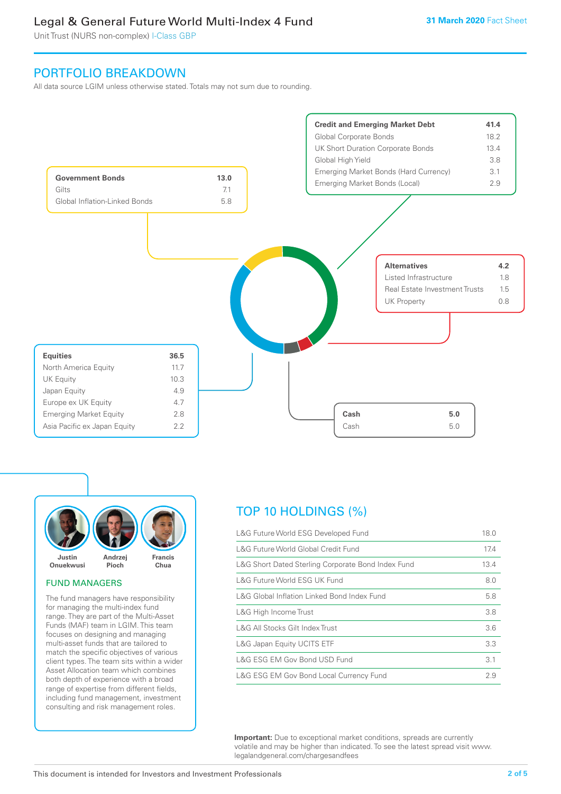# Legal & General Future World Multi-Index 4 Fund

Unit Trust (NURS non-complex) I-Class GBP

# PORTFOLIO BREAKDOWN

All data source LGIM unless otherwise stated. Totals may not sum due to rounding.





#### FUND MANAGERS

The fund managers have responsibility for managing the multi-index fund range. They are part of the Multi-Asset Funds (MAF) team in LGIM. This team focuses on designing and managing multi-asset funds that are tailored to match the specific objectives of various client types. The team sits within a wider Asset Allocation team which combines both depth of experience with a broad range of expertise from different fields, including fund management, investment consulting and risk management roles.

# TOP 10 HOLDINGS (%)

| L&G Future World ESG Developed Fund                | 18.0 |
|----------------------------------------------------|------|
| L&G Future World Global Credit Fund                | 17.4 |
| L&G Short Dated Sterling Corporate Bond Index Fund | 13.4 |
| L&G Future World ESG UK Fund                       | 8.0  |
| L&G Global Inflation Linked Bond Index Fund        | 5.8  |
| L&G High Income Trust                              | 3.8  |
| L&G All Stocks Gilt Index Trust                    | 3.6  |
| L&G Japan Equity UCITS ETF                         | 3.3  |
| L&G ESG EM Gov Bond USD Fund                       | 3.1  |
| L&G ESG EM Gov Bond Local Currency Fund            | 2.9  |

**Important:** Due to exceptional market conditions, spreads are currently volatile and may be higher than indicated. To see the latest spread visit www. legalandgeneral.com/chargesandfees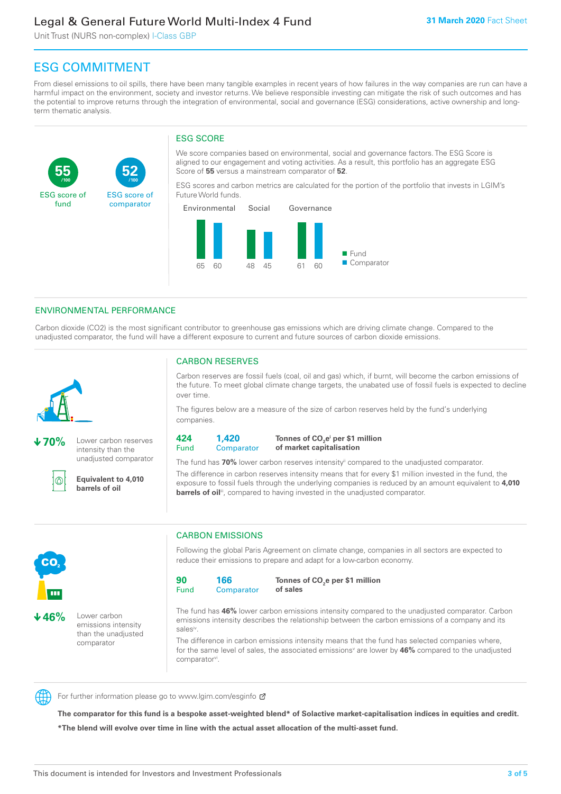# Legal & General Future World Multi-Index 4 Fund

Unit Trust (NURS non-complex) I-Class GBP

**52**

ESG score of comparator

# ESG COMMITMENT

**/100 /100**

From diesel emissions to oil spills, there have been many tangible examples in recent years of how failures in the way companies are run can have a harmful impact on the environment, society and investor returns. We believe responsible investing can mitigate the risk of such outcomes and has the potential to improve returns through the integration of environmental, social and governance (ESG) considerations, active ownership and longterm thematic analysis.

# ESG SCORE

We score companies based on environmental, social and governance factors. The ESG Score is aligned to our engagement and voting activities. As a result, this portfolio has an aggregate ESG Score of **55** versus a mainstream comparator of **52**.

ESG scores and carbon metrics are calculated for the portion of the portfolio that invests in LGIM's Future World funds.



## ENVIRONMENTAL PERFORMANCE

Carbon dioxide (CO2) is the most significant contributor to greenhouse gas emissions which are driving climate change. Compared to the unadjusted comparator, the fund will have a different exposure to current and future sources of carbon dioxide emissions.



**55**

ESG score of fund

**70%** Lower carbon reserves intensity than the unadjusted comparator

൘

CO<sub>2</sub>

**46%** Lower carbon

emissions intensity than the unadjusted comparator

**Equivalent to 4,010 barrels of oil**

## CARBON RESERVES

Carbon reserves are fossil fuels (coal, oil and gas) which, if burnt, will become the carbon emissions of the future. To meet global climate change targets, the unabated use of fossil fuels is expected to decline over time.

The figures below are a measure of the size of carbon reserves held by the fund's underlying companies.

**424** Fund **1,420 Comparator** 

**Tonnes of CO2 ei per \$1 million of market capitalisation**

The fund has **70%** lower carbon reserves intensityii compared to the unadjusted comparator. The difference in carbon reserves intensity means that for every \$1 million invested in the fund, the exposure to fossil fuels through the underlying companies is reduced by an amount equivalent to **4,010 barrels of oil**<sup>iii</sup>, compared to having invested in the unadjusted comparator.



Following the global Paris Agreement on climate change, companies in all sectors are expected to reduce their emissions to prepare and adapt for a low-carbon economy.

**90** Fund **166 Comparator** 

**Tonnes of CO2 e per \$1 million of sales**

The fund has **46%** lower carbon emissions intensity compared to the unadjusted comparator. Carbon emissions intensity describes the relationship between the carbon emissions of a company and its salesiv

The difference in carbon emissions intensity means that the fund has selected companies where, for the same level of sales, the associated emissions<sup>v</sup> are lower by 46% compared to the unadjusted comparator<sup>vi</sup>.



For further information please go to www.lgim.com/esginfo Ø

**The comparator for this fund is a bespoke asset-weighted blend\* of Solactive market-capitalisation indices in equities and credit. \*The blend will evolve over time in line with the actual asset allocation of the multi-asset fund.**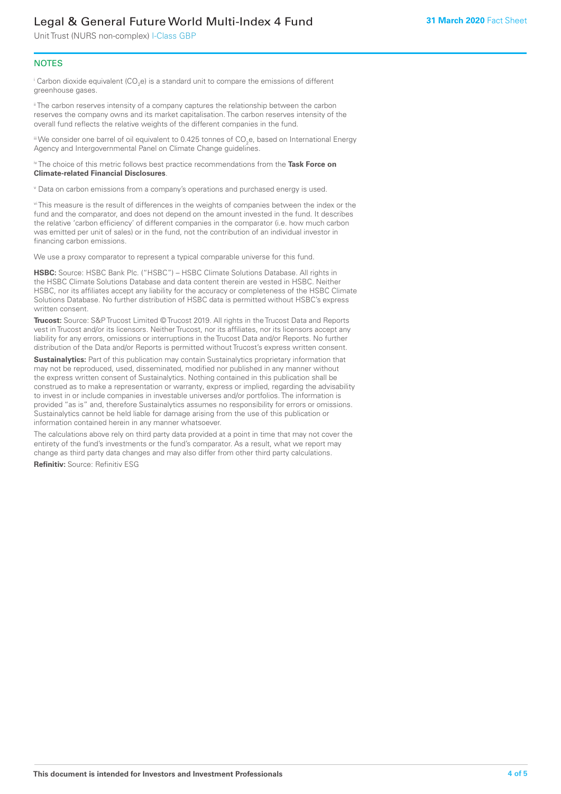# Legal & General Future World Multi-Index 4 Fund

Unit Trust (NURS non-complex) I-Class GBP

#### **NOTES**

 $^\mathrm{i}$  Carbon dioxide equivalent (CO<sub>2</sub>e) is a standard unit to compare the emissions of different greenhouse gases.

<sup>ii</sup> The carbon reserves intensity of a company captures the relationship between the carbon reserves the company owns and its market capitalisation. The carbon reserves intensity of the overall fund reflects the relative weights of the different companies in the fund.

iii We consider one barrel of oil equivalent to 0.425 tonnes of CO<sub>2</sub>e, based on International Energy Agency and Intergovernmental Panel on Climate Change guidelines.

#### iv The choice of this metric follows best practice recommendations from the **Task Force on Climate-related Financial Disclosures**.

v Data on carbon emissions from a company's operations and purchased energy is used.

vi This measure is the result of differences in the weights of companies between the index or the fund and the comparator, and does not depend on the amount invested in the fund. It describes the relative 'carbon efficiency' of different companies in the comparator (i.e. how much carbon was emitted per unit of sales) or in the fund, not the contribution of an individual investor in financing carbon emissions.

We use a proxy comparator to represent a typical comparable universe for this fund.

**HSBC:** Source: HSBC Bank Plc. ("HSBC") – HSBC Climate Solutions Database. All rights in the HSBC Climate Solutions Database and data content therein are vested in HSBC. Neither HSBC, nor its affiliates accept any liability for the accuracy or completeness of the HSBC Climate Solutions Database. No further distribution of HSBC data is permitted without HSBC's express written consent.

**Trucost:** Source: S&P Trucost Limited © Trucost 2019. All rights in the Trucost Data and Reports vest in Trucost and/or its licensors. Neither Trucost, nor its affiliates, nor its licensors accept any liability for any errors, omissions or interruptions in the Trucost Data and/or Reports. No further distribution of the Data and/or Reports is permitted without Trucost's express written consent.

**Sustainalytics:** Part of this publication may contain Sustainalytics proprietary information that may not be reproduced, used, disseminated, modified nor published in any manner without the express written consent of Sustainalytics. Nothing contained in this publication shall be construed as to make a representation or warranty, express or implied, regarding the advisability to invest in or include companies in investable universes and/or portfolios. The information is provided "as is" and, therefore Sustainalytics assumes no responsibility for errors or omissions. Sustainalytics cannot be held liable for damage arising from the use of this publication or information contained herein in any manner whatsoever.

The calculations above rely on third party data provided at a point in time that may not cover the entirety of the fund's investments or the fund's comparator. As a result, what we report may change as third party data changes and may also differ from other third party calculations.

**Refinitiv:** Source: Refinitiv ESG